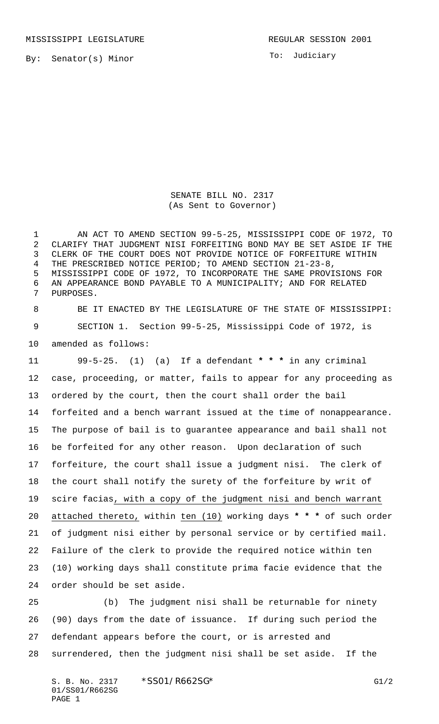MISSISSIPPI LEGISLATURE **REGULAR SESSION 2001** 

To: Judiciary

SENATE BILL NO. 2317 (As Sent to Governor)

 AN ACT TO AMEND SECTION 99-5-25, MISSISSIPPI CODE OF 1972, TO CLARIFY THAT JUDGMENT NISI FORFEITING BOND MAY BE SET ASIDE IF THE CLERK OF THE COURT DOES NOT PROVIDE NOTICE OF FORFEITURE WITHIN THE PRESCRIBED NOTICE PERIOD; TO AMEND SECTION 21-23-8, MISSISSIPPI CODE OF 1972, TO INCORPORATE THE SAME PROVISIONS FOR AN APPEARANCE BOND PAYABLE TO A MUNICIPALITY; AND FOR RELATED PURPOSES.

 BE IT ENACTED BY THE LEGISLATURE OF THE STATE OF MISSISSIPPI: SECTION 1. Section 99-5-25, Mississippi Code of 1972, is amended as follows:

 99-5-25. (1) (a) If a defendant **\* \* \*** in any criminal case, proceeding, or matter, fails to appear for any proceeding as ordered by the court, then the court shall order the bail forfeited and a bench warrant issued at the time of nonappearance. The purpose of bail is to guarantee appearance and bail shall not be forfeited for any other reason. Upon declaration of such forfeiture, the court shall issue a judgment nisi. The clerk of the court shall notify the surety of the forfeiture by writ of scire facias, with a copy of the judgment nisi and bench warrant attached thereto, within ten (10) working days **\* \* \*** of such order of judgment nisi either by personal service or by certified mail. Failure of the clerk to provide the required notice within ten (10) working days shall constitute prima facie evidence that the order should be set aside.

 (b) The judgment nisi shall be returnable for ninety (90) days from the date of issuance. If during such period the defendant appears before the court, or is arrested and surrendered, then the judgment nisi shall be set aside. If the

S. B. No. 2317 \* SS01/R662SG\* G1/2 01/SS01/R662SG PAGE 1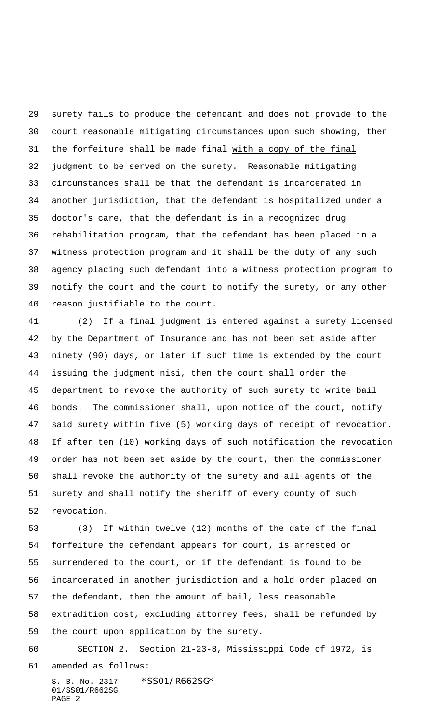surety fails to produce the defendant and does not provide to the court reasonable mitigating circumstances upon such showing, then the forfeiture shall be made final with a copy of the final 32 judgment to be served on the surety. Reasonable mitigating circumstances shall be that the defendant is incarcerated in another jurisdiction, that the defendant is hospitalized under a doctor's care, that the defendant is in a recognized drug rehabilitation program, that the defendant has been placed in a witness protection program and it shall be the duty of any such agency placing such defendant into a witness protection program to notify the court and the court to notify the surety, or any other reason justifiable to the court.

 (2) If a final judgment is entered against a surety licensed by the Department of Insurance and has not been set aside after ninety (90) days, or later if such time is extended by the court issuing the judgment nisi, then the court shall order the department to revoke the authority of such surety to write bail bonds. The commissioner shall, upon notice of the court, notify said surety within five (5) working days of receipt of revocation. If after ten (10) working days of such notification the revocation order has not been set aside by the court, then the commissioner shall revoke the authority of the surety and all agents of the surety and shall notify the sheriff of every county of such revocation.

 (3) If within twelve (12) months of the date of the final forfeiture the defendant appears for court, is arrested or surrendered to the court, or if the defendant is found to be incarcerated in another jurisdiction and a hold order placed on the defendant, then the amount of bail, less reasonable extradition cost, excluding attorney fees, shall be refunded by the court upon application by the surety.

 SECTION 2. Section 21-23-8, Mississippi Code of 1972, is amended as follows:

S. B. No. 2317 \* SS01/R662SG\* 01/SS01/R662SG PAGE 2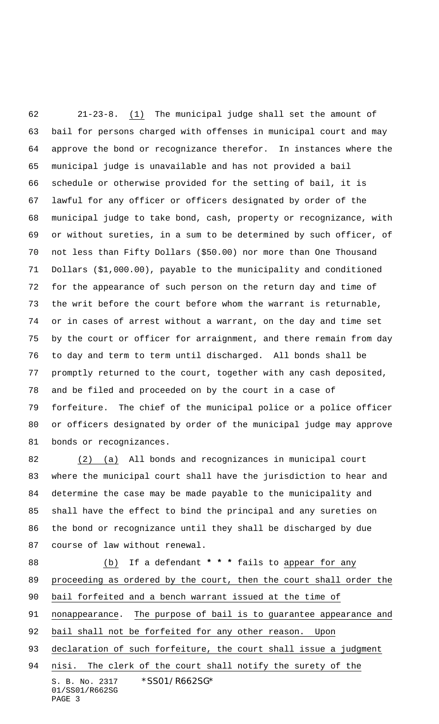21-23-8. (1) The municipal judge shall set the amount of bail for persons charged with offenses in municipal court and may approve the bond or recognizance therefor. In instances where the municipal judge is unavailable and has not provided a bail schedule or otherwise provided for the setting of bail, it is lawful for any officer or officers designated by order of the municipal judge to take bond, cash, property or recognizance, with or without sureties, in a sum to be determined by such officer, of not less than Fifty Dollars (\$50.00) nor more than One Thousand Dollars (\$1,000.00), payable to the municipality and conditioned for the appearance of such person on the return day and time of the writ before the court before whom the warrant is returnable, or in cases of arrest without a warrant, on the day and time set by the court or officer for arraignment, and there remain from day to day and term to term until discharged. All bonds shall be promptly returned to the court, together with any cash deposited, and be filed and proceeded on by the court in a case of forfeiture. The chief of the municipal police or a police officer or officers designated by order of the municipal judge may approve bonds or recognizances.

 (2) (a) All bonds and recognizances in municipal court where the municipal court shall have the jurisdiction to hear and determine the case may be made payable to the municipality and shall have the effect to bind the principal and any sureties on the bond or recognizance until they shall be discharged by due course of law without renewal.

S. B. No. 2317 \* SS01/R662SG\* 01/SS01/R662SG PAGE 3 (b) If a defendant **\* \* \*** fails to appear for any proceeding as ordered by the court, then the court shall order the bail forfeited and a bench warrant issued at the time of nonappearance. The purpose of bail is to guarantee appearance and bail shall not be forfeited for any other reason. Upon 93 declaration of such forfeiture, the court shall issue a judgment nisi. The clerk of the court shall notify the surety of the